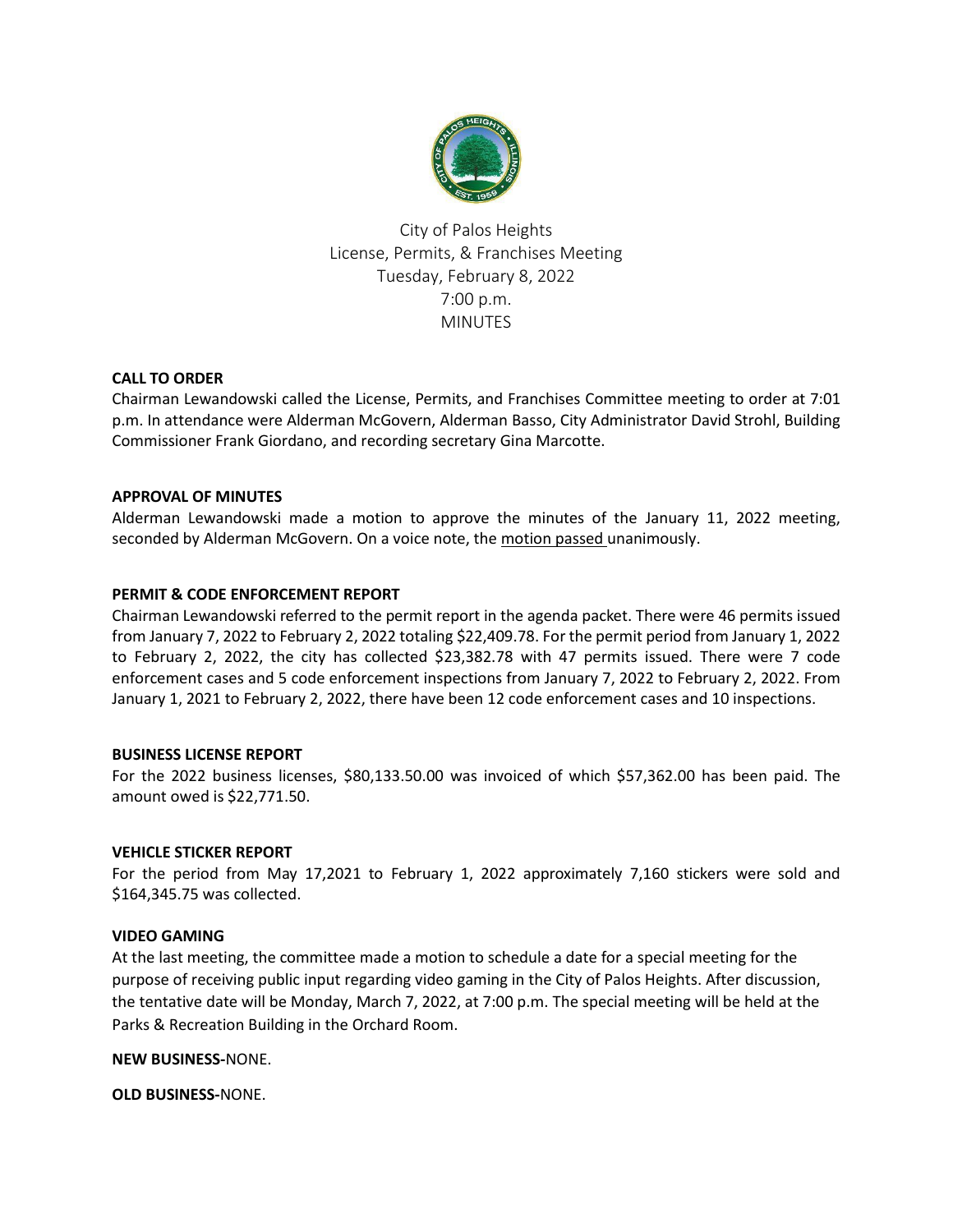

City of Palos Heights License, Permits, & Franchises Meeting Tuesday, February 8, 2022 7:00 p.m. MINUTES

# **CALL TO ORDER**

Chairman Lewandowski called the License, Permits, and Franchises Committee meeting to order at 7:01 p.m. In attendance were Alderman McGovern, Alderman Basso, City Administrator David Strohl, Building Commissioner Frank Giordano, and recording secretary Gina Marcotte.

# **APPROVAL OF MINUTES**

Alderman Lewandowski made a motion to approve the minutes of the January 11, 2022 meeting, seconded by Alderman McGovern. On a voice note, the motion passed unanimously.

# **PERMIT & CODE ENFORCEMENT REPORT**

Chairman Lewandowski referred to the permit report in the agenda packet. There were 46 permits issued from January 7, 2022 to February 2, 2022 totaling \$22,409.78. For the permit period from January 1, 2022 to February 2, 2022, the city has collected \$23,382.78 with 47 permits issued. There were 7 code enforcement cases and 5 code enforcement inspections from January 7, 2022 to February 2, 2022. From January 1, 2021 to February 2, 2022, there have been 12 code enforcement cases and 10 inspections.

### **BUSINESS LICENSE REPORT**

For the 2022 business licenses, \$80,133.50.00 was invoiced of which \$57,362.00 has been paid. The amount owed is \$22,771.50.

### **VEHICLE STICKER REPORT**

For the period from May 17,2021 to February 1, 2022 approximately 7,160 stickers were sold and \$164,345.75 was collected.

### **VIDEO GAMING**

At the last meeting, the committee made a motion to schedule a date for a special meeting for the purpose of receiving public input regarding video gaming in the City of Palos Heights. After discussion, the tentative date will be Monday, March 7, 2022, at 7:00 p.m. The special meeting will be held at the Parks & Recreation Building in the Orchard Room.

**NEW BUSINESS-**NONE.

**OLD BUSINESS-**NONE.